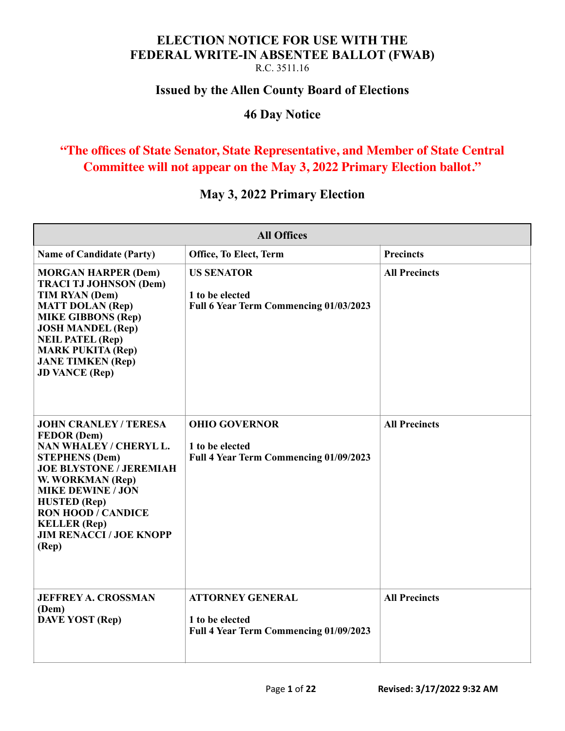# **ELECTION NOTICE FOR USE WITH THE FEDERAL WRITE-IN ABSENTEE BALLOT (FWAB)**

R.C. 3511.16

#### **Issued by the Allen County Board of Elections**

#### **46 Day Notice**

# **"The offices of State Senator, State Representative, and Member of State Central Committee will not appear on the May 3, 2022 Primary Election ballot."**

### **May 3, 2022 Primary Election**

| <b>All Offices</b>                                                                                                                                                                                                                                                                                            |                                                                                      |                      |
|---------------------------------------------------------------------------------------------------------------------------------------------------------------------------------------------------------------------------------------------------------------------------------------------------------------|--------------------------------------------------------------------------------------|----------------------|
| <b>Name of Candidate (Party)</b>                                                                                                                                                                                                                                                                              | Office, To Elect, Term                                                               | <b>Precincts</b>     |
| <b>MORGAN HARPER (Dem)</b><br><b>TRACI TJ JOHNSON (Dem)</b><br>TIM RYAN (Dem)<br><b>MATT DOLAN (Rep)</b><br><b>MIKE GIBBONS (Rep)</b><br><b>JOSH MANDEL (Rep)</b><br><b>NEIL PATEL (Rep)</b><br><b>MARK PUKITA (Rep)</b><br><b>JANE TIMKEN (Rep)</b><br><b>JD VANCE (Rep)</b>                                 | <b>US SENATOR</b><br>1 to be elected<br>Full 6 Year Term Commencing 01/03/2023       | <b>All Precincts</b> |
| <b>JOHN CRANLEY / TERESA</b><br><b>FEDOR</b> (Dem)<br>NAN WHALEY / CHERYL L.<br><b>STEPHENS (Dem)</b><br><b>JOE BLYSTONE / JEREMIAH</b><br>W. WORKMAN (Rep)<br><b>MIKE DEWINE / JON</b><br><b>HUSTED</b> (Rep)<br><b>RON HOOD / CANDICE</b><br><b>KELLER</b> (Rep)<br><b>JIM RENACCI / JOE KNOPP</b><br>(Rep) | <b>OHIO GOVERNOR</b><br>1 to be elected<br>Full 4 Year Term Commencing 01/09/2023    | <b>All Precincts</b> |
| <b>JEFFREY A. CROSSMAN</b><br>(Dem)<br><b>DAVE YOST</b> (Rep)                                                                                                                                                                                                                                                 | <b>ATTORNEY GENERAL</b><br>1 to be elected<br>Full 4 Year Term Commencing 01/09/2023 | <b>All Precincts</b> |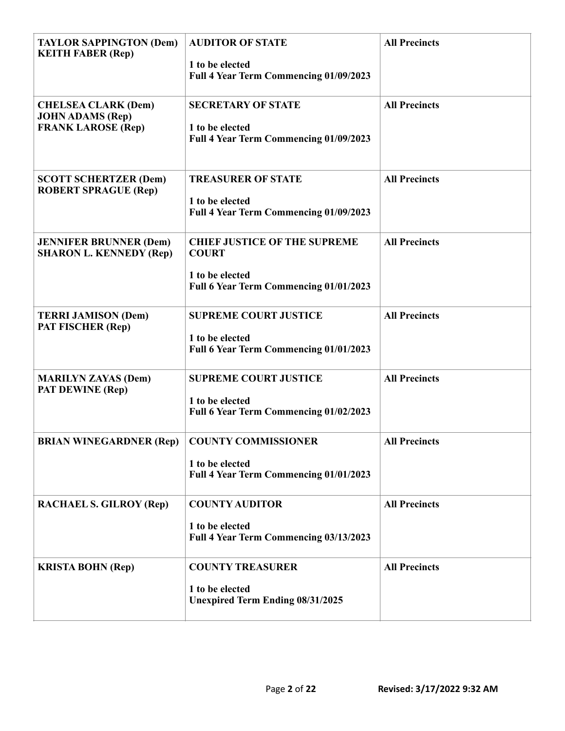| <b>TAYLOR SAPPINGTON (Dem)</b><br><b>KEITH FABER (Rep)</b>                         | <b>AUDITOR OF STATE</b><br>1 to be elected                | <b>All Precincts</b> |
|------------------------------------------------------------------------------------|-----------------------------------------------------------|----------------------|
|                                                                                    | Full 4 Year Term Commencing 01/09/2023                    |                      |
| <b>CHELSEA CLARK (Dem)</b><br><b>JOHN ADAMS (Rep)</b><br><b>FRANK LAROSE (Rep)</b> | <b>SECRETARY OF STATE</b><br>1 to be elected              | <b>All Precincts</b> |
|                                                                                    | Full 4 Year Term Commencing 01/09/2023                    |                      |
| <b>SCOTT SCHERTZER (Dem)</b><br><b>ROBERT SPRAGUE (Rep)</b>                        | <b>TREASURER OF STATE</b><br>1 to be elected              | <b>All Precincts</b> |
|                                                                                    | Full 4 Year Term Commencing 01/09/2023                    |                      |
| <b>JENNIFER BRUNNER (Dem)</b><br><b>SHARON L. KENNEDY (Rep)</b>                    | <b>CHIEF JUSTICE OF THE SUPREME</b><br><b>COURT</b>       | <b>All Precincts</b> |
|                                                                                    | 1 to be elected<br>Full 6 Year Term Commencing 01/01/2023 |                      |
| <b>TERRI JAMISON (Dem)</b><br><b>PAT FISCHER (Rep)</b>                             | <b>SUPREME COURT JUSTICE</b><br>1 to be elected           | <b>All Precincts</b> |
|                                                                                    | Full 6 Year Term Commencing 01/01/2023                    |                      |
| <b>MARILYN ZAYAS (Dem)</b><br>PAT DEWINE (Rep)                                     | <b>SUPREME COURT JUSTICE</b><br>1 to be elected           | <b>All Precincts</b> |
|                                                                                    | Full 6 Year Term Commencing 01/02/2023                    |                      |
| <b>BRIAN WINEGARDNER (Rep)</b>                                                     | <b>COUNTY COMMISSIONER</b><br>1 to be elected             | <b>All Precincts</b> |
|                                                                                    | Full 4 Year Term Commencing 01/01/2023                    |                      |
| <b>RACHAEL S. GILROY (Rep)</b>                                                     | <b>COUNTY AUDITOR</b><br>1 to be elected                  | <b>All Precincts</b> |
|                                                                                    | Full 4 Year Term Commencing 03/13/2023                    |                      |
| <b>KRISTA BOHN (Rep)</b>                                                           | <b>COUNTY TREASURER</b><br>1 to be elected                | <b>All Precincts</b> |
|                                                                                    | <b>Unexpired Term Ending 08/31/2025</b>                   |                      |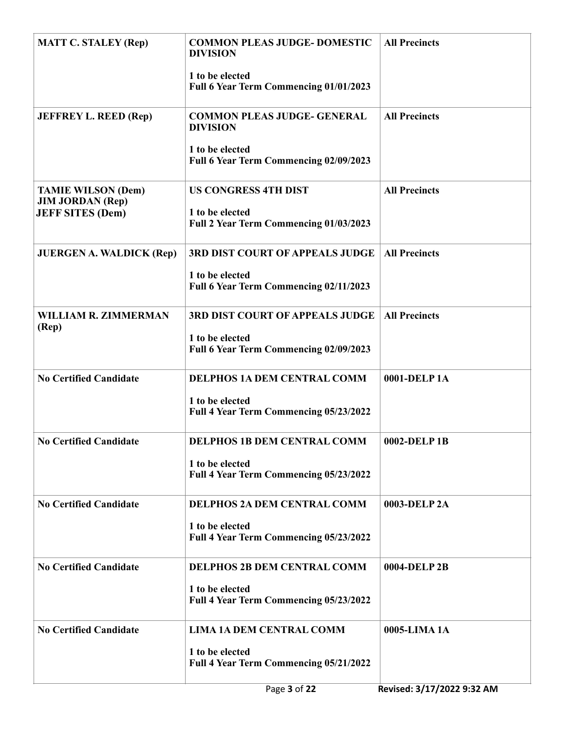| <b>MATT C. STALEY (Rep)</b>                          | <b>COMMON PLEAS JUDGE- DOMESTIC</b><br><b>DIVISION</b>    | <b>All Precincts</b>       |
|------------------------------------------------------|-----------------------------------------------------------|----------------------------|
|                                                      | 1 to be elected<br>Full 6 Year Term Commencing 01/01/2023 |                            |
| <b>JEFFREY L. REED (Rep)</b>                         | <b>COMMON PLEAS JUDGE- GENERAL</b><br><b>DIVISION</b>     | <b>All Precincts</b>       |
|                                                      | 1 to be elected<br>Full 6 Year Term Commencing 02/09/2023 |                            |
| <b>TAMIE WILSON (Dem)</b><br><b>JIM JORDAN (Rep)</b> | <b>US CONGRESS 4TH DIST</b>                               | <b>All Precincts</b>       |
| <b>JEFF SITES (Dem)</b>                              | 1 to be elected<br>Full 2 Year Term Commencing 01/03/2023 |                            |
| <b>JUERGEN A. WALDICK (Rep)</b>                      | <b>3RD DIST COURT OF APPEALS JUDGE</b>                    | <b>All Precincts</b>       |
|                                                      | 1 to be elected<br>Full 6 Year Term Commencing 02/11/2023 |                            |
| WILLIAM R. ZIMMERMAN<br>(Rep)                        | <b>3RD DIST COURT OF APPEALS JUDGE</b>                    | <b>All Precincts</b>       |
|                                                      | 1 to be elected<br>Full 6 Year Term Commencing 02/09/2023 |                            |
| <b>No Certified Candidate</b>                        | <b>DELPHOS 1A DEM CENTRAL COMM</b>                        | 0001-DELP1A                |
|                                                      | 1 to be elected<br>Full 4 Year Term Commencing 05/23/2022 |                            |
| <b>No Certified Candidate</b>                        | <b>DELPHOS 1B DEM CENTRAL COMM</b>                        | 0002-DELP1B                |
|                                                      | 1 to be elected<br>Full 4 Year Term Commencing 05/23/2022 |                            |
| <b>No Certified Candidate</b>                        | <b>DELPHOS 2A DEM CENTRAL COMM</b>                        | 0003-DELP 2A               |
|                                                      | 1 to be elected<br>Full 4 Year Term Commencing 05/23/2022 |                            |
| <b>No Certified Candidate</b>                        | <b>DELPHOS 2B DEM CENTRAL COMM</b>                        | 0004-DELP 2B               |
|                                                      | 1 to be elected<br>Full 4 Year Term Commencing 05/23/2022 |                            |
| <b>No Certified Candidate</b>                        | <b>LIMA 1A DEM CENTRAL COMM</b>                           | 0005-LIMA 1A               |
|                                                      | 1 to be elected<br>Full 4 Year Term Commencing 05/21/2022 |                            |
|                                                      | Page 3 of 22                                              | Revised: 3/17/2022 9:32 AM |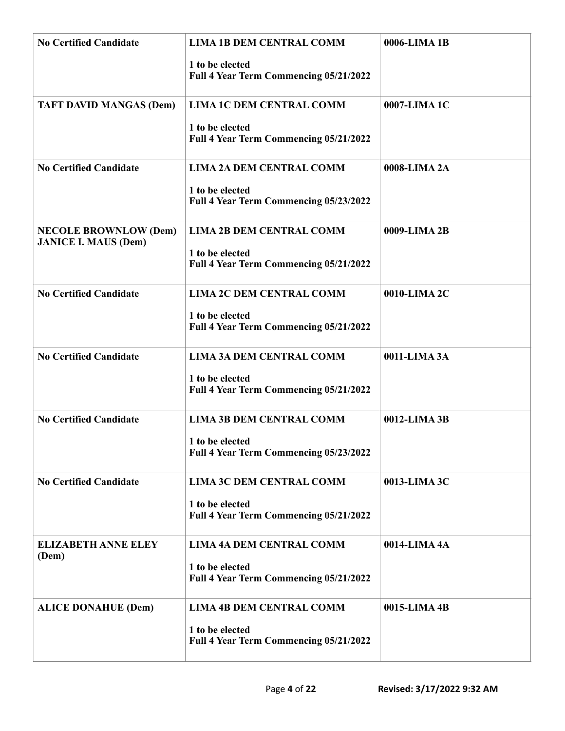| <b>No Certified Candidate</b>                               | <b>LIMA 1B DEM CENTRAL COMM</b><br>1 to be elected<br>Full 4 Year Term Commencing 05/21/2022 | 0006-LIMA 1B |
|-------------------------------------------------------------|----------------------------------------------------------------------------------------------|--------------|
| <b>TAFT DAVID MANGAS (Dem)</b>                              | <b>LIMA 1C DEM CENTRAL COMM</b><br>1 to be elected<br>Full 4 Year Term Commencing 05/21/2022 | 0007-LIMA 1C |
| <b>No Certified Candidate</b>                               | <b>LIMA 2A DEM CENTRAL COMM</b><br>1 to be elected<br>Full 4 Year Term Commencing 05/23/2022 | 0008-LIMA 2A |
| <b>NECOLE BROWNLOW (Dem)</b><br><b>JANICE I. MAUS (Dem)</b> | <b>LIMA 2B DEM CENTRAL COMM</b><br>1 to be elected<br>Full 4 Year Term Commencing 05/21/2022 | 0009-LIMA 2B |
| <b>No Certified Candidate</b>                               | <b>LIMA 2C DEM CENTRAL COMM</b><br>1 to be elected<br>Full 4 Year Term Commencing 05/21/2022 | 0010-LIMA 2C |
| <b>No Certified Candidate</b>                               | <b>LIMA 3A DEM CENTRAL COMM</b><br>1 to be elected<br>Full 4 Year Term Commencing 05/21/2022 | 0011-LIMA 3A |
| <b>No Certified Candidate</b>                               | <b>LIMA 3B DEM CENTRAL COMM</b><br>1 to be elected<br>Full 4 Year Term Commencing 05/23/2022 | 0012-LIMA 3B |
| <b>No Certified Candidate</b>                               | <b>LIMA 3C DEM CENTRAL COMM</b><br>1 to be elected<br>Full 4 Year Term Commencing 05/21/2022 | 0013-LIMA 3C |
| <b>ELIZABETH ANNE ELEY</b><br>(Dem)                         | <b>LIMA 4A DEM CENTRAL COMM</b><br>1 to be elected<br>Full 4 Year Term Commencing 05/21/2022 | 0014-LIMA 4A |
| <b>ALICE DONAHUE (Dem)</b>                                  | <b>LIMA 4B DEM CENTRAL COMM</b><br>1 to be elected<br>Full 4 Year Term Commencing 05/21/2022 | 0015-LIMA 4B |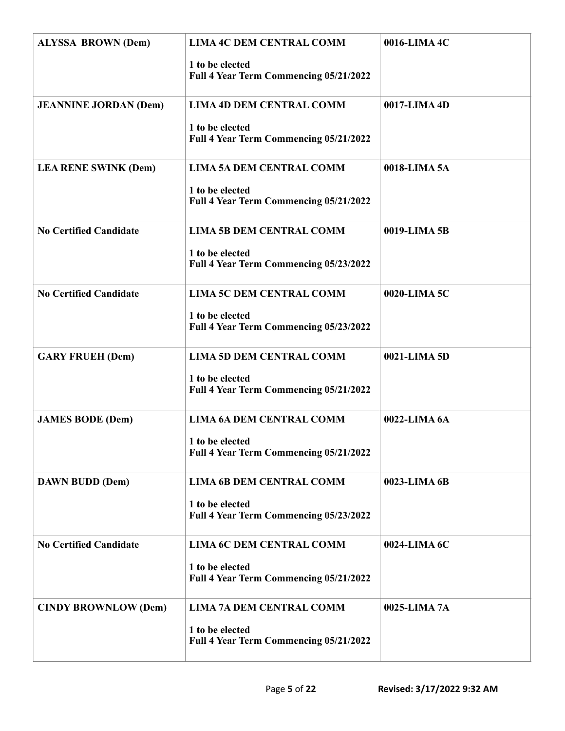| <b>ALYSSA BROWN (Dem)</b>     | <b>LIMA 4C DEM CENTRAL COMM</b><br>1 to be elected<br>Full 4 Year Term Commencing 05/21/2022 | 0016-LIMA 4C |
|-------------------------------|----------------------------------------------------------------------------------------------|--------------|
| <b>JEANNINE JORDAN (Dem)</b>  | <b>LIMA 4D DEM CENTRAL COMM</b><br>1 to be elected<br>Full 4 Year Term Commencing 05/21/2022 | 0017-LIMA 4D |
| <b>LEA RENE SWINK (Dem)</b>   | <b>LIMA 5A DEM CENTRAL COMM</b><br>1 to be elected<br>Full 4 Year Term Commencing 05/21/2022 | 0018-LIMA 5A |
| <b>No Certified Candidate</b> | <b>LIMA 5B DEM CENTRAL COMM</b><br>1 to be elected<br>Full 4 Year Term Commencing 05/23/2022 | 0019-LIMA 5B |
| <b>No Certified Candidate</b> | <b>LIMA 5C DEM CENTRAL COMM</b><br>1 to be elected<br>Full 4 Year Term Commencing 05/23/2022 | 0020-LIMA 5C |
| <b>GARY FRUEH (Dem)</b>       | <b>LIMA 5D DEM CENTRAL COMM</b><br>1 to be elected<br>Full 4 Year Term Commencing 05/21/2022 | 0021-LIMA 5D |
| <b>JAMES BODE (Dem)</b>       | <b>LIMA 6A DEM CENTRAL COMM</b><br>1 to be elected<br>Full 4 Year Term Commencing 05/21/2022 | 0022-LIMA 6A |
| <b>DAWN BUDD (Dem)</b>        | <b>LIMA 6B DEM CENTRAL COMM</b><br>1 to be elected<br>Full 4 Year Term Commencing 05/23/2022 | 0023-LIMA 6B |
| <b>No Certified Candidate</b> | <b>LIMA 6C DEM CENTRAL COMM</b><br>1 to be elected<br>Full 4 Year Term Commencing 05/21/2022 | 0024-LIMA 6C |
| <b>CINDY BROWNLOW (Dem)</b>   | <b>LIMA 7A DEM CENTRAL COMM</b><br>1 to be elected<br>Full 4 Year Term Commencing 05/21/2022 | 0025-LIMA 7A |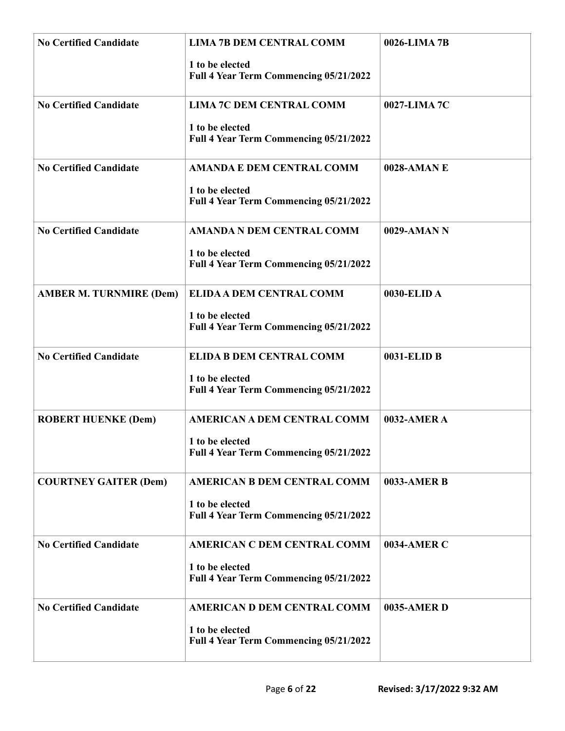| <b>No Certified Candidate</b>  | <b>LIMA 7B DEM CENTRAL COMM</b><br>1 to be elected<br>Full 4 Year Term Commencing 05/21/2022    | 0026-LIMA 7B |
|--------------------------------|-------------------------------------------------------------------------------------------------|--------------|
| <b>No Certified Candidate</b>  | <b>LIMA 7C DEM CENTRAL COMM</b><br>1 to be elected<br>Full 4 Year Term Commencing 05/21/2022    | 0027-LIMA 7C |
| <b>No Certified Candidate</b>  | <b>AMANDA E DEM CENTRAL COMM</b><br>1 to be elected<br>Full 4 Year Term Commencing 05/21/2022   | 0028-AMAN E  |
| <b>No Certified Candidate</b>  | <b>AMANDA N DEM CENTRAL COMM</b><br>1 to be elected<br>Full 4 Year Term Commencing 05/21/2022   | 0029-AMAN N  |
| <b>AMBER M. TURNMIRE (Dem)</b> | ELIDA A DEM CENTRAL COMM<br>1 to be elected<br>Full 4 Year Term Commencing 05/21/2022           | 0030-ELID A  |
| <b>No Certified Candidate</b>  | <b>ELIDA B DEM CENTRAL COMM</b><br>1 to be elected<br>Full 4 Year Term Commencing 05/21/2022    | 0031-ELID B  |
| <b>ROBERT HUENKE (Dem)</b>     | <b>AMERICAN A DEM CENTRAL COMM</b><br>1 to be elected<br>Full 4 Year Term Commencing 05/21/2022 | 0032-AMER A  |
| <b>COURTNEY GAITER (Dem)</b>   | <b>AMERICAN B DEM CENTRAL COMM</b><br>1 to be elected<br>Full 4 Year Term Commencing 05/21/2022 | 0033-AMER B  |
| <b>No Certified Candidate</b>  | <b>AMERICAN C DEM CENTRAL COMM</b><br>1 to be elected<br>Full 4 Year Term Commencing 05/21/2022 | 0034-AMER C  |
| <b>No Certified Candidate</b>  | <b>AMERICAN D DEM CENTRAL COMM</b><br>1 to be elected<br>Full 4 Year Term Commencing 05/21/2022 | 0035-AMER D  |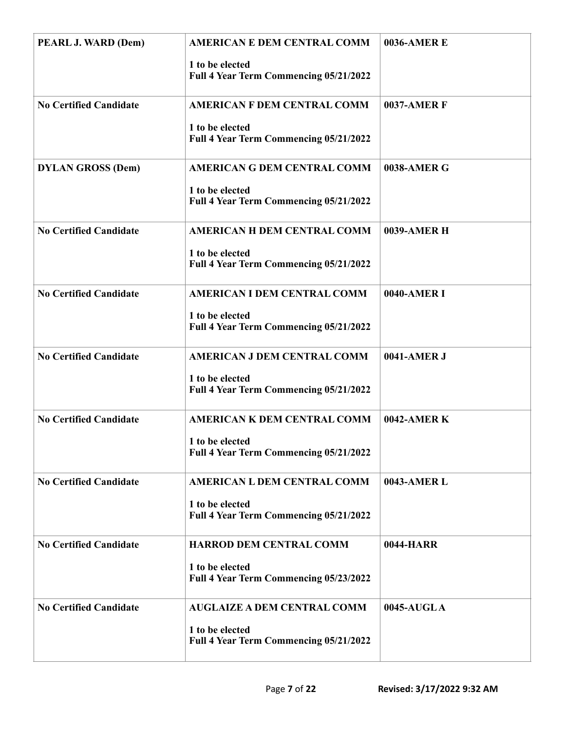| PEARL J. WARD (Dem)           | <b>AMERICAN E DEM CENTRAL COMM</b><br>1 to be elected<br>Full 4 Year Term Commencing 05/21/2022 | <b>0036-AMERE</b>  |
|-------------------------------|-------------------------------------------------------------------------------------------------|--------------------|
| <b>No Certified Candidate</b> | <b>AMERICAN F DEM CENTRAL COMM</b><br>1 to be elected<br>Full 4 Year Term Commencing 05/21/2022 | <b>0037-AMER F</b> |
| <b>DYLAN GROSS (Dem)</b>      | <b>AMERICAN G DEM CENTRAL COMM</b><br>1 to be elected<br>Full 4 Year Term Commencing 05/21/2022 | 0038-AMER G        |
| <b>No Certified Candidate</b> | <b>AMERICAN H DEM CENTRAL COMM</b><br>1 to be elected<br>Full 4 Year Term Commencing 05/21/2022 | 0039-AMER H        |
| <b>No Certified Candidate</b> | AMERICAN I DEM CENTRAL COMM<br>1 to be elected<br>Full 4 Year Term Commencing 05/21/2022        | 0040-AMER I        |
| <b>No Certified Candidate</b> | <b>AMERICAN J DEM CENTRAL COMM</b><br>1 to be elected<br>Full 4 Year Term Commencing 05/21/2022 | 0041-AMER J        |
| <b>No Certified Candidate</b> | <b>AMERICAN K DEM CENTRAL COMM</b><br>1 to be elected<br>Full 4 Year Term Commencing 05/21/2022 | 0042-AMER K        |
| <b>No Certified Candidate</b> | <b>AMERICAN L DEM CENTRAL COMM</b><br>1 to be elected<br>Full 4 Year Term Commencing 05/21/2022 | 0043-AMER L        |
| <b>No Certified Candidate</b> | HARROD DEM CENTRAL COMM<br>1 to be elected<br>Full 4 Year Term Commencing 05/23/2022            | 0044-HARR          |
| <b>No Certified Candidate</b> | <b>AUGLAIZE A DEM CENTRAL COMM</b><br>1 to be elected<br>Full 4 Year Term Commencing 05/21/2022 | 0045-AUGLA         |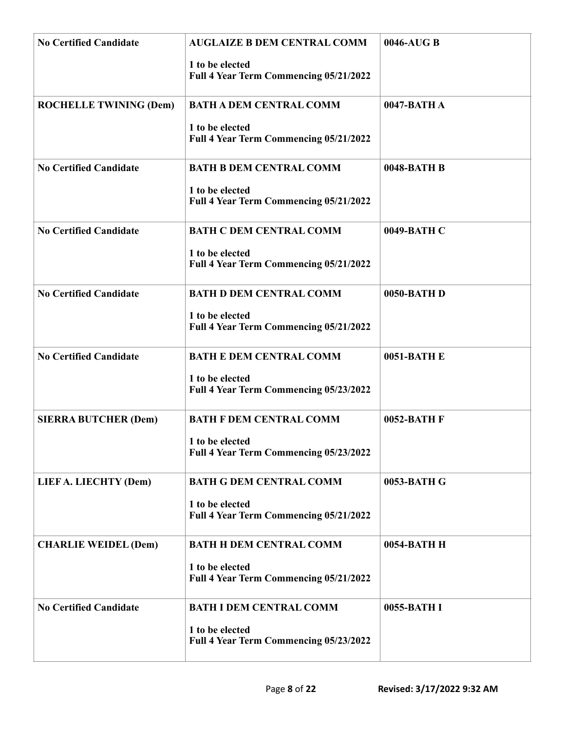| <b>No Certified Candidate</b> | <b>AUGLAIZE B DEM CENTRAL COMM</b><br>1 to be elected<br>Full 4 Year Term Commencing 05/21/2022 | 0046-AUG B  |
|-------------------------------|-------------------------------------------------------------------------------------------------|-------------|
| <b>ROCHELLE TWINING (Dem)</b> | <b>BATH A DEM CENTRAL COMM</b><br>1 to be elected<br>Full 4 Year Term Commencing 05/21/2022     | 0047-BATH A |
| <b>No Certified Candidate</b> | <b>BATH B DEM CENTRAL COMM</b><br>1 to be elected<br>Full 4 Year Term Commencing 05/21/2022     | 0048-BATH B |
| <b>No Certified Candidate</b> | <b>BATH C DEM CENTRAL COMM</b><br>1 to be elected<br>Full 4 Year Term Commencing 05/21/2022     | 0049-BATH C |
| <b>No Certified Candidate</b> | <b>BATH D DEM CENTRAL COMM</b><br>1 to be elected<br>Full 4 Year Term Commencing 05/21/2022     | 0050-BATH D |
| <b>No Certified Candidate</b> | <b>BATH E DEM CENTRAL COMM</b><br>1 to be elected<br>Full 4 Year Term Commencing 05/23/2022     | 0051-BATH E |
| <b>SIERRA BUTCHER (Dem)</b>   | <b>BATH F DEM CENTRAL COMM</b><br>1 to be elected<br>Full 4 Year Term Commencing 05/23/2022     | 0052-BATH F |
| LIEF A. LIECHTY (Dem)         | <b>BATH G DEM CENTRAL COMM</b><br>1 to be elected<br>Full 4 Year Term Commencing 05/21/2022     | 0053-BATH G |
| <b>CHARLIE WEIDEL (Dem)</b>   | <b>BATH H DEM CENTRAL COMM</b><br>1 to be elected<br>Full 4 Year Term Commencing 05/21/2022     | 0054-BATH H |
| <b>No Certified Candidate</b> | <b>BATH I DEM CENTRAL COMM</b><br>1 to be elected<br>Full 4 Year Term Commencing 05/23/2022     | 0055-BATH I |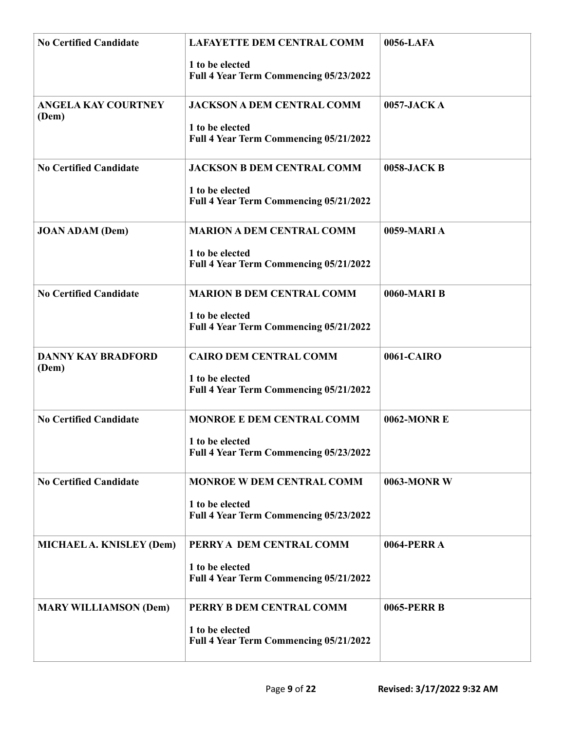| <b>No Certified Candidate</b>       | <b>LAFAYETTE DEM CENTRAL COMM</b>                         | 0056-LAFA          |
|-------------------------------------|-----------------------------------------------------------|--------------------|
|                                     | 1 to be elected<br>Full 4 Year Term Commencing 05/23/2022 |                    |
| <b>ANGELA KAY COURTNEY</b><br>(Dem) | <b>JACKSON A DEM CENTRAL COMM</b>                         | 0057-JACK A        |
|                                     | 1 to be elected<br>Full 4 Year Term Commencing 05/21/2022 |                    |
| <b>No Certified Candidate</b>       | <b>JACKSON B DEM CENTRAL COMM</b>                         | 0058-JACK B        |
|                                     | 1 to be elected<br>Full 4 Year Term Commencing 05/21/2022 |                    |
| <b>JOAN ADAM (Dem)</b>              | <b>MARION A DEM CENTRAL COMM</b>                          | 0059-MARIA         |
|                                     | 1 to be elected<br>Full 4 Year Term Commencing 05/21/2022 |                    |
| <b>No Certified Candidate</b>       | <b>MARION B DEM CENTRAL COMM</b>                          | 0060-MARI B        |
|                                     | 1 to be elected<br>Full 4 Year Term Commencing 05/21/2022 |                    |
| <b>DANNY KAY BRADFORD</b><br>(Dem)  | <b>CAIRO DEM CENTRAL COMM</b>                             | 0061-CAIRO         |
|                                     | 1 to be elected<br>Full 4 Year Term Commencing 05/21/2022 |                    |
| <b>No Certified Candidate</b>       | MONROE E DEM CENTRAL COMM                                 | <b>0062-MONR E</b> |
|                                     | 1 to be elected<br>Full 4 Year Term Commencing 05/23/2022 |                    |
| <b>No Certified Candidate</b>       | <b>MONROE W DEM CENTRAL COMM</b>                          | 0063-MONR W        |
|                                     | 1 to be elected<br>Full 4 Year Term Commencing 05/23/2022 |                    |
| MICHAEL A. KNISLEY (Dem)            | PERRY A DEM CENTRAL COMM                                  | <b>0064-PERRA</b>  |
|                                     | 1 to be elected<br>Full 4 Year Term Commencing 05/21/2022 |                    |
| <b>MARY WILLIAMSON (Dem)</b>        | PERRY B DEM CENTRAL COMM                                  | 0065-PERR B        |
|                                     | 1 to be elected<br>Full 4 Year Term Commencing 05/21/2022 |                    |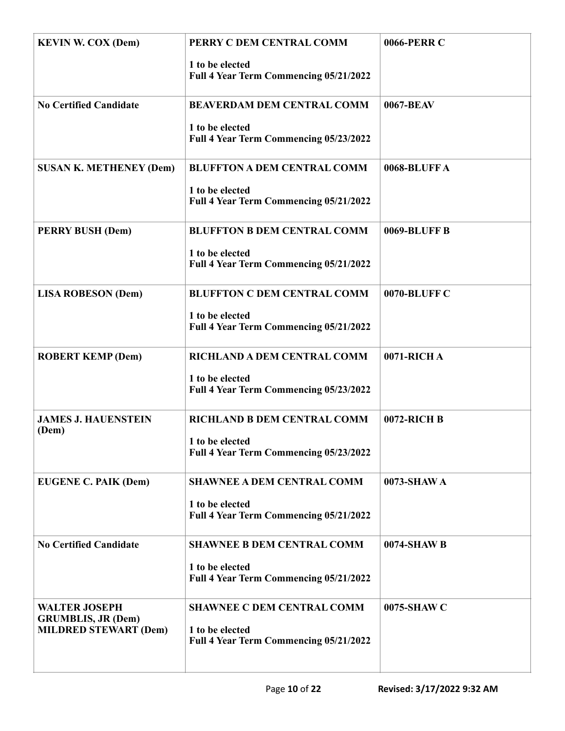| <b>KEVIN W. COX (Dem)</b>                                                         | PERRY C DEM CENTRAL COMM<br>1 to be elected<br>Full 4 Year Term Commencing 05/21/2022           | 0066-PERR C  |
|-----------------------------------------------------------------------------------|-------------------------------------------------------------------------------------------------|--------------|
| <b>No Certified Candidate</b>                                                     | <b>BEAVERDAM DEM CENTRAL COMM</b><br>1 to be elected                                            | 0067-BEAV    |
| <b>SUSAN K. METHENEY (Dem)</b>                                                    | Full 4 Year Term Commencing 05/23/2022<br><b>BLUFFTON A DEM CENTRAL COMM</b>                    | 0068-BLUFFA  |
|                                                                                   | 1 to be elected<br>Full 4 Year Term Commencing 05/21/2022                                       |              |
| <b>PERRY BUSH (Dem)</b>                                                           | <b>BLUFFTON B DEM CENTRAL COMM</b><br>1 to be elected<br>Full 4 Year Term Commencing 05/21/2022 | 0069-BLUFF B |
| <b>LISA ROBESON (Dem)</b>                                                         | <b>BLUFFTON C DEM CENTRAL COMM</b><br>1 to be elected<br>Full 4 Year Term Commencing 05/21/2022 | 0070-BLUFF C |
| <b>ROBERT KEMP (Dem)</b>                                                          | RICHLAND A DEM CENTRAL COMM<br>1 to be elected<br>Full 4 Year Term Commencing 05/23/2022        | 0071-RICH A  |
| <b>JAMES J. HAUENSTEIN</b><br>(Dem)                                               | RICHLAND B DEM CENTRAL COMM<br>1 to be elected<br>Full 4 Year Term Commencing 05/23/2022        | 0072-RICH B  |
| <b>EUGENE C. PAIK (Dem)</b>                                                       | <b>SHAWNEE A DEM CENTRAL COMM</b><br>1 to be elected<br>Full 4 Year Term Commencing 05/21/2022  | 0073-SHAW A  |
| <b>No Certified Candidate</b>                                                     | <b>SHAWNEE B DEM CENTRAL COMM</b><br>1 to be elected<br>Full 4 Year Term Commencing 05/21/2022  | 0074-SHAW B  |
| <b>WALTER JOSEPH</b><br><b>GRUMBLIS, JR (Dem)</b><br><b>MILDRED STEWART (Dem)</b> | <b>SHAWNEE C DEM CENTRAL COMM</b><br>1 to be elected<br>Full 4 Year Term Commencing 05/21/2022  | 0075-SHAW C  |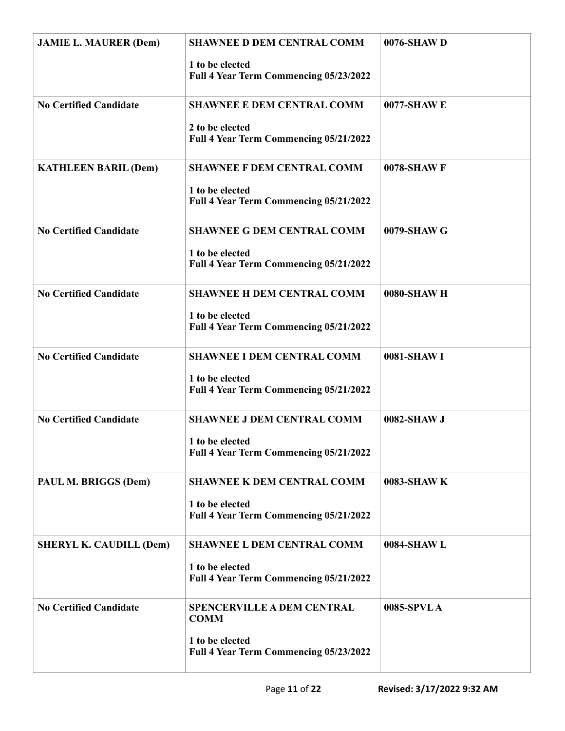| <b>JAMIE L. MAURER (Dem)</b>   | <b>SHAWNEE D DEM CENTRAL COMM</b><br>1 to be elected<br>Full 4 Year Term Commencing 05/23/2022                | 0076-SHAW D |
|--------------------------------|---------------------------------------------------------------------------------------------------------------|-------------|
| <b>No Certified Candidate</b>  | <b>SHAWNEE E DEM CENTRAL COMM</b><br>2 to be elected<br>Full 4 Year Term Commencing 05/21/2022                | 0077-SHAW E |
| <b>KATHLEEN BARIL (Dem)</b>    | <b>SHAWNEE F DEM CENTRAL COMM</b><br>1 to be elected<br>Full 4 Year Term Commencing 05/21/2022                | 0078-SHAW F |
| <b>No Certified Candidate</b>  | <b>SHAWNEE G DEM CENTRAL COMM</b><br>1 to be elected<br>Full 4 Year Term Commencing 05/21/2022                | 0079-SHAW G |
| <b>No Certified Candidate</b>  | <b>SHAWNEE H DEM CENTRAL COMM</b><br>1 to be elected<br>Full 4 Year Term Commencing 05/21/2022                | 0080-SHAW H |
| <b>No Certified Candidate</b>  | <b>SHAWNEE I DEM CENTRAL COMM</b><br>1 to be elected<br>Full 4 Year Term Commencing 05/21/2022                | 0081-SHAW I |
| <b>No Certified Candidate</b>  | <b>SHAWNEE J DEM CENTRAL COMM</b><br>1 to be elected<br>Full 4 Year Term Commencing 05/21/2022                | 0082-SHAW J |
| PAUL M. BRIGGS (Dem)           | <b>SHAWNEE K DEM CENTRAL COMM</b><br>1 to be elected<br>Full 4 Year Term Commencing 05/21/2022                | 0083-SHAW K |
| <b>SHERYL K. CAUDILL (Dem)</b> | <b>SHAWNEE L DEM CENTRAL COMM</b><br>1 to be elected<br>Full 4 Year Term Commencing 05/21/2022                | 0084-SHAW L |
| <b>No Certified Candidate</b>  | <b>SPENCERVILLE A DEM CENTRAL</b><br><b>COMM</b><br>1 to be elected<br>Full 4 Year Term Commencing 05/23/2022 | 0085-SPVLA  |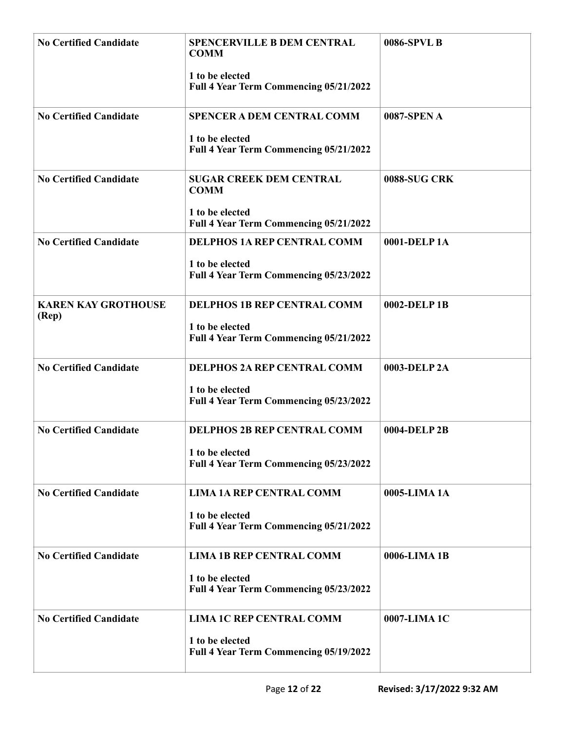| <b>No Certified Candidate</b>       | <b>SPENCERVILLE B DEM CENTRAL</b><br><b>COMM</b>          | 0086-SPVL B         |
|-------------------------------------|-----------------------------------------------------------|---------------------|
|                                     | 1 to be elected<br>Full 4 Year Term Commencing 05/21/2022 |                     |
| <b>No Certified Candidate</b>       | <b>SPENCER A DEM CENTRAL COMM</b>                         | 0087-SPEN A         |
|                                     | 1 to be elected<br>Full 4 Year Term Commencing 05/21/2022 |                     |
| <b>No Certified Candidate</b>       | <b>SUGAR CREEK DEM CENTRAL</b><br><b>COMM</b>             | <b>0088-SUG CRK</b> |
|                                     | 1 to be elected<br>Full 4 Year Term Commencing 05/21/2022 |                     |
| <b>No Certified Candidate</b>       | <b>DELPHOS 1A REP CENTRAL COMM</b>                        | 0001-DELP1A         |
|                                     | 1 to be elected<br>Full 4 Year Term Commencing 05/23/2022 |                     |
| <b>KAREN KAY GROTHOUSE</b><br>(Rep) | <b>DELPHOS 1B REP CENTRAL COMM</b>                        | 0002-DELP1B         |
|                                     | 1 to be elected<br>Full 4 Year Term Commencing 05/21/2022 |                     |
| <b>No Certified Candidate</b>       | <b>DELPHOS 2A REP CENTRAL COMM</b>                        | 0003-DELP 2A        |
|                                     | 1 to be elected<br>Full 4 Year Term Commencing 05/23/2022 |                     |
| <b>No Certified Candidate</b>       | <b>DELPHOS 2B REP CENTRAL COMM</b>                        | 0004-DELP 2B        |
|                                     | 1 to be elected<br>Full 4 Year Term Commencing 05/23/2022 |                     |
| <b>No Certified Candidate</b>       | <b>LIMA 1A REP CENTRAL COMM</b>                           | 0005-LIMA 1A        |
|                                     | 1 to be elected<br>Full 4 Year Term Commencing 05/21/2022 |                     |
| <b>No Certified Candidate</b>       | <b>LIMA 1B REP CENTRAL COMM</b>                           | 0006-LIMA 1B        |
|                                     | 1 to be elected<br>Full 4 Year Term Commencing 05/23/2022 |                     |
| <b>No Certified Candidate</b>       | <b>LIMA 1C REP CENTRAL COMM</b>                           | 0007-LIMA 1C        |
|                                     | 1 to be elected<br>Full 4 Year Term Commencing 05/19/2022 |                     |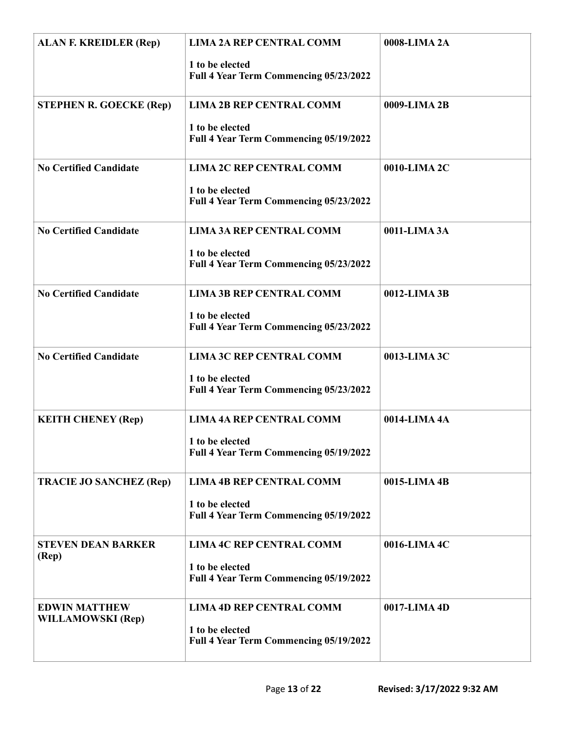| <b>ALAN F. KREIDLER (Rep)</b>                    | <b>LIMA 2A REP CENTRAL COMM</b><br>1 to be elected<br>Full 4 Year Term Commencing 05/23/2022 | 0008-LIMA 2A |
|--------------------------------------------------|----------------------------------------------------------------------------------------------|--------------|
| <b>STEPHEN R. GOECKE (Rep)</b>                   | <b>LIMA 2B REP CENTRAL COMM</b><br>1 to be elected<br>Full 4 Year Term Commencing 05/19/2022 | 0009-LIMA 2B |
| <b>No Certified Candidate</b>                    | <b>LIMA 2C REP CENTRAL COMM</b><br>1 to be elected<br>Full 4 Year Term Commencing 05/23/2022 | 0010-LIMA 2C |
| <b>No Certified Candidate</b>                    | <b>LIMA 3A REP CENTRAL COMM</b><br>1 to be elected<br>Full 4 Year Term Commencing 05/23/2022 | 0011-LIMA 3A |
| <b>No Certified Candidate</b>                    | <b>LIMA 3B REP CENTRAL COMM</b><br>1 to be elected<br>Full 4 Year Term Commencing 05/23/2022 | 0012-LIMA 3B |
| <b>No Certified Candidate</b>                    | <b>LIMA 3C REP CENTRAL COMM</b><br>1 to be elected<br>Full 4 Year Term Commencing 05/23/2022 | 0013-LIMA 3C |
| <b>KEITH CHENEY (Rep)</b>                        | <b>LIMA 4A REP CENTRAL COMM</b><br>1 to be elected<br>Full 4 Year Term Commencing 05/19/2022 | 0014-LIMA 4A |
| <b>TRACIE JO SANCHEZ (Rep)</b>                   | <b>LIMA 4B REP CENTRAL COMM</b><br>1 to be elected<br>Full 4 Year Term Commencing 05/19/2022 | 0015-LIMA 4B |
| <b>STEVEN DEAN BARKER</b><br>(Rep)               | <b>LIMA 4C REP CENTRAL COMM</b><br>1 to be elected<br>Full 4 Year Term Commencing 05/19/2022 | 0016-LIMA 4C |
| <b>EDWIN MATTHEW</b><br><b>WILLAMOWSKI</b> (Rep) | <b>LIMA 4D REP CENTRAL COMM</b><br>1 to be elected<br>Full 4 Year Term Commencing 05/19/2022 | 0017-LIMA 4D |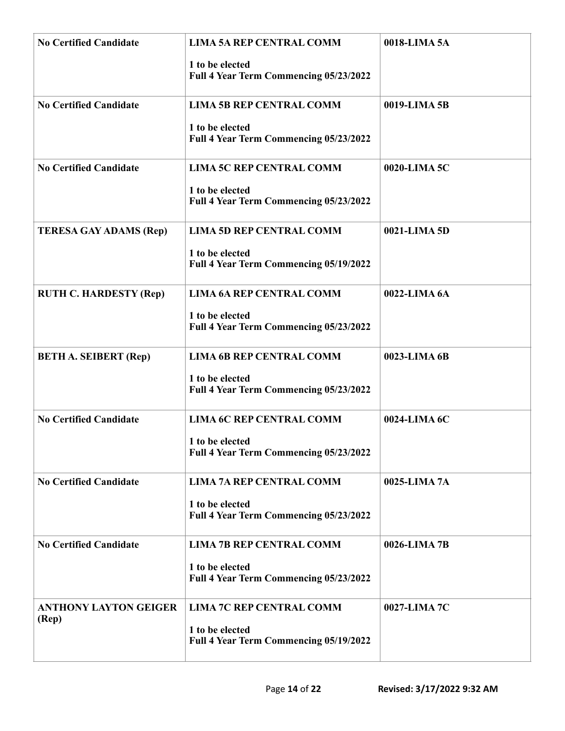| <b>No Certified Candidate</b>         | <b>LIMA 5A REP CENTRAL COMM</b><br>1 to be elected<br>Full 4 Year Term Commencing 05/23/2022 | 0018-LIMA 5A |
|---------------------------------------|----------------------------------------------------------------------------------------------|--------------|
| <b>No Certified Candidate</b>         | <b>LIMA 5B REP CENTRAL COMM</b><br>1 to be elected<br>Full 4 Year Term Commencing 05/23/2022 | 0019-LIMA 5B |
| <b>No Certified Candidate</b>         | <b>LIMA 5C REP CENTRAL COMM</b><br>1 to be elected<br>Full 4 Year Term Commencing 05/23/2022 | 0020-LIMA 5C |
| <b>TERESA GAY ADAMS (Rep)</b>         | <b>LIMA 5D REP CENTRAL COMM</b><br>1 to be elected<br>Full 4 Year Term Commencing 05/19/2022 | 0021-LIMA 5D |
| <b>RUTH C. HARDESTY (Rep)</b>         | <b>LIMA 6A REP CENTRAL COMM</b><br>1 to be elected<br>Full 4 Year Term Commencing 05/23/2022 | 0022-LIMA 6A |
| <b>BETH A. SEIBERT (Rep)</b>          | <b>LIMA 6B REP CENTRAL COMM</b><br>1 to be elected<br>Full 4 Year Term Commencing 05/23/2022 | 0023-LIMA 6B |
| <b>No Certified Candidate</b>         | <b>LIMA 6C REP CENTRAL COMM</b><br>1 to be elected<br>Full 4 Year Term Commencing 05/23/2022 | 0024-LIMA 6C |
| <b>No Certified Candidate</b>         | <b>LIMA 7A REP CENTRAL COMM</b><br>1 to be elected<br>Full 4 Year Term Commencing 05/23/2022 | 0025-LIMA 7A |
| <b>No Certified Candidate</b>         | <b>LIMA 7B REP CENTRAL COMM</b><br>1 to be elected<br>Full 4 Year Term Commencing 05/23/2022 | 0026-LIMA 7B |
| <b>ANTHONY LAYTON GEIGER</b><br>(Rep) | <b>LIMA 7C REP CENTRAL COMM</b><br>1 to be elected<br>Full 4 Year Term Commencing 05/19/2022 | 0027-LIMA 7C |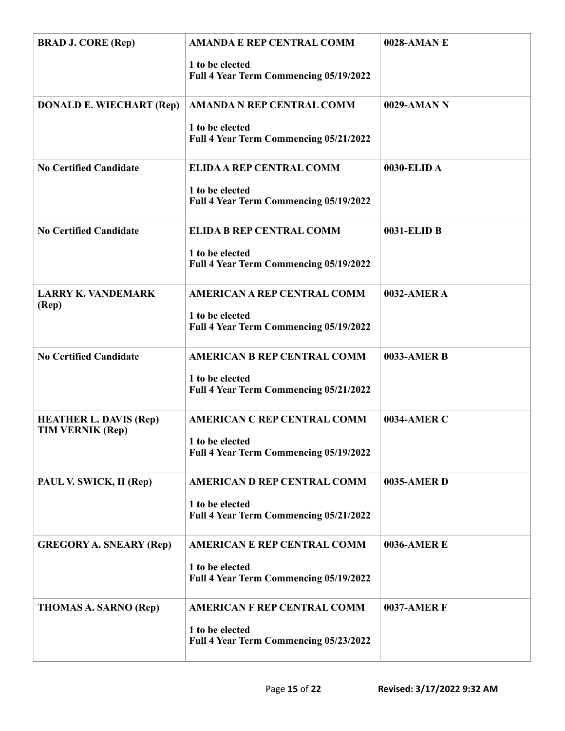| <b>BRAD J. CORE (Rep)</b>                                | <b>AMANDA E REP CENTRAL COMM</b><br>1 to be elected<br>Full 4 Year Term Commencing 05/19/2022   | 0028-AMAN E        |
|----------------------------------------------------------|-------------------------------------------------------------------------------------------------|--------------------|
| <b>DONALD E. WIECHART (Rep)</b>                          | <b>AMANDA N REP CENTRAL COMM</b><br>1 to be elected<br>Full 4 Year Term Commencing 05/21/2022   | 0029-AMAN N        |
| <b>No Certified Candidate</b>                            | <b>ELIDA A REP CENTRAL COMM</b><br>1 to be elected<br>Full 4 Year Term Commencing 05/19/2022    | 0030-ELID A        |
| <b>No Certified Candidate</b>                            | <b>ELIDA B REP CENTRAL COMM</b><br>1 to be elected<br>Full 4 Year Term Commencing 05/19/2022    | 0031-ELID B        |
| <b>LARRY K. VANDEMARK</b><br>(Rep)                       | <b>AMERICAN A REP CENTRAL COMM</b><br>1 to be elected<br>Full 4 Year Term Commencing 05/19/2022 | 0032-AMER A        |
| <b>No Certified Candidate</b>                            | <b>AMERICAN B REP CENTRAL COMM</b><br>1 to be elected<br>Full 4 Year Term Commencing 05/21/2022 | <b>0033-AMER B</b> |
| <b>HEATHER L. DAVIS (Rep)</b><br><b>TIM VERNIK (Rep)</b> | <b>AMERICAN C REP CENTRAL COMM</b><br>1 to be elected<br>Full 4 Year Term Commencing 05/19/2022 | 0034-AMER C        |
| PAUL V. SWICK, II (Rep)                                  | <b>AMERICAN D REP CENTRAL COMM</b><br>1 to be elected<br>Full 4 Year Term Commencing 05/21/2022 | 0035-AMER D        |
| <b>GREGORY A. SNEARY (Rep)</b>                           | <b>AMERICAN E REP CENTRAL COMM</b><br>1 to be elected<br>Full 4 Year Term Commencing 05/19/2022 | <b>0036-AMERE</b>  |
| <b>THOMAS A. SARNO (Rep)</b>                             | <b>AMERICAN F REP CENTRAL COMM</b><br>1 to be elected<br>Full 4 Year Term Commencing 05/23/2022 | <b>0037-AMER F</b> |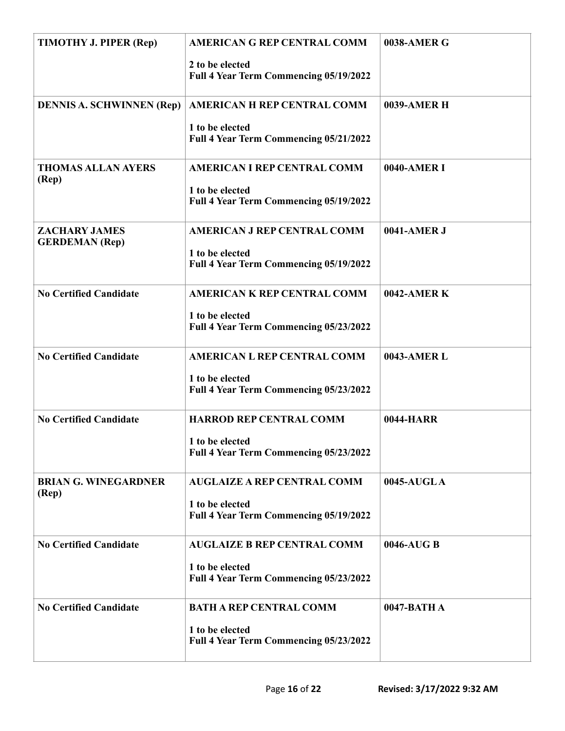| TIMOTHY J. PIPER (Rep)                        | <b>AMERICAN G REP CENTRAL COMM</b><br>2 to be elected<br>Full 4 Year Term Commencing 05/19/2022 | 0038-AMER G      |
|-----------------------------------------------|-------------------------------------------------------------------------------------------------|------------------|
| <b>DENNIS A. SCHWINNEN (Rep)</b>              | AMERICAN H REP CENTRAL COMM<br>1 to be elected<br>Full 4 Year Term Commencing 05/21/2022        | 0039-AMER H      |
| <b>THOMAS ALLAN AYERS</b><br>(Rep)            | <b>AMERICAN I REP CENTRAL COMM</b><br>1 to be elected<br>Full 4 Year Term Commencing 05/19/2022 | 0040-AMER I      |
| <b>ZACHARY JAMES</b><br><b>GERDEMAN</b> (Rep) | <b>AMERICAN J REP CENTRAL COMM</b><br>1 to be elected<br>Full 4 Year Term Commencing 05/19/2022 | 0041-AMER J      |
| <b>No Certified Candidate</b>                 | AMERICAN K REP CENTRAL COMM<br>1 to be elected<br>Full 4 Year Term Commencing 05/23/2022        | 0042-AMER K      |
| <b>No Certified Candidate</b>                 | <b>AMERICAN L REP CENTRAL COMM</b><br>1 to be elected<br>Full 4 Year Term Commencing 05/23/2022 | 0043-AMER L      |
| <b>No Certified Candidate</b>                 | <b>HARROD REP CENTRAL COMM</b><br>1 to be elected<br>Full 4 Year Term Commencing 05/23/2022     | <b>0044-HARR</b> |
| <b>BRIAN G. WINEGARDNER</b><br>(Rep)          | <b>AUGLAIZE A REP CENTRAL COMM</b><br>1 to be elected<br>Full 4 Year Term Commencing 05/19/2022 | 0045-AUGLA       |
| <b>No Certified Candidate</b>                 | <b>AUGLAIZE B REP CENTRAL COMM</b><br>1 to be elected<br>Full 4 Year Term Commencing 05/23/2022 | 0046-AUG B       |
| <b>No Certified Candidate</b>                 | <b>BATH A REP CENTRAL COMM</b><br>1 to be elected<br>Full 4 Year Term Commencing 05/23/2022     | 0047-BATH A      |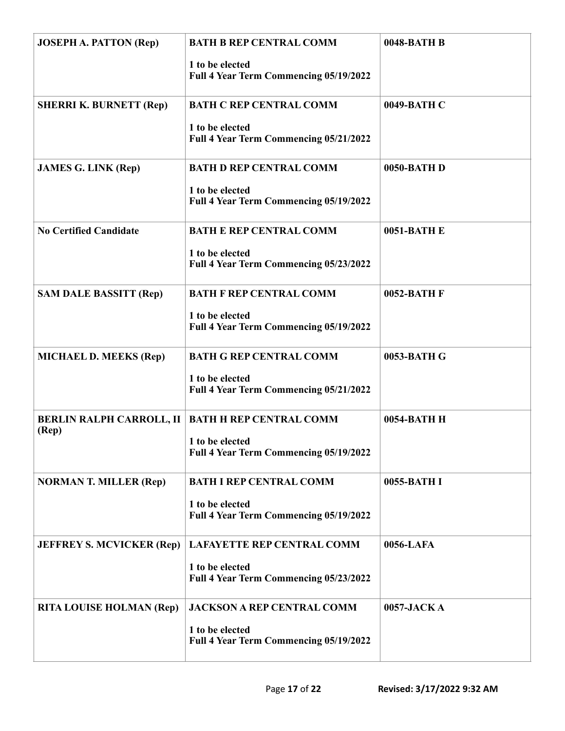| <b>JOSEPH A. PATTON (Rep)</b>            | <b>BATH B REP CENTRAL COMM</b><br>1 to be elected<br>Full 4 Year Term Commencing 05/19/2022    | 0048-BATH B |
|------------------------------------------|------------------------------------------------------------------------------------------------|-------------|
| <b>SHERRI K. BURNETT (Rep)</b>           | <b>BATH C REP CENTRAL COMM</b><br>1 to be elected<br>Full 4 Year Term Commencing 05/21/2022    | 0049-BATH C |
| <b>JAMES G. LINK (Rep)</b>               | <b>BATH D REP CENTRAL COMM</b><br>1 to be elected<br>Full 4 Year Term Commencing 05/19/2022    | 0050-BATH D |
| <b>No Certified Candidate</b>            | <b>BATH E REP CENTRAL COMM</b><br>1 to be elected<br>Full 4 Year Term Commencing 05/23/2022    | 0051-BATH E |
| <b>SAM DALE BASSITT (Rep)</b>            | <b>BATH F REP CENTRAL COMM</b><br>1 to be elected<br>Full 4 Year Term Commencing 05/19/2022    | 0052-BATH F |
| <b>MICHAEL D. MEEKS (Rep)</b>            | <b>BATH G REP CENTRAL COMM</b><br>1 to be elected<br>Full 4 Year Term Commencing 05/21/2022    | 0053-BATH G |
| <b>BERLIN RALPH CARROLL, II</b><br>(Rep) | <b>BATH H REP CENTRAL COMM</b><br>1 to be elected<br>Full 4 Year Term Commencing 05/19/2022    | 0054-BATH H |
| <b>NORMAN T. MILLER (Rep)</b>            | <b>BATH I REP CENTRAL COMM</b><br>1 to be elected<br>Full 4 Year Term Commencing 05/19/2022    | 0055-BATH I |
| <b>JEFFREY S. MCVICKER (Rep)</b>         | <b>LAFAYETTE REP CENTRAL COMM</b><br>1 to be elected<br>Full 4 Year Term Commencing 05/23/2022 | 0056-LAFA   |
| <b>RITA LOUISE HOLMAN (Rep)</b>          | <b>JACKSON A REP CENTRAL COMM</b><br>1 to be elected<br>Full 4 Year Term Commencing 05/19/2022 | 0057-JACKA  |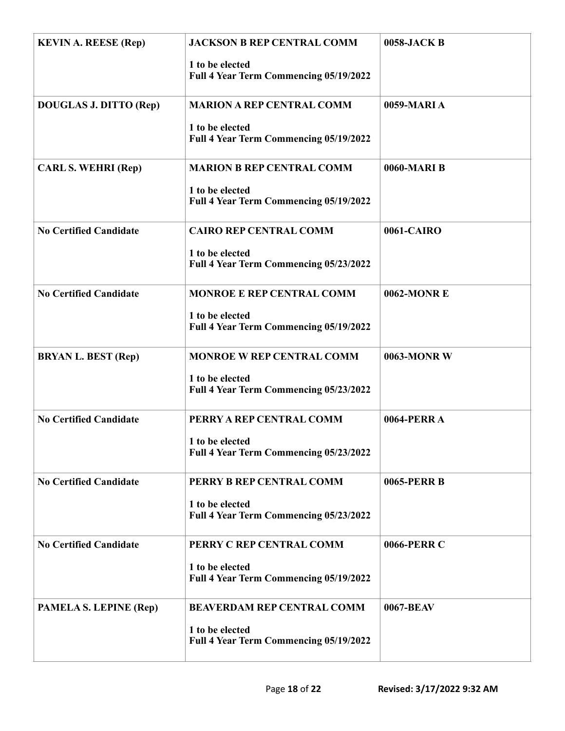| <b>KEVIN A. REESE (Rep)</b>   | <b>JACKSON B REP CENTRAL COMM</b><br>1 to be elected<br>Full 4 Year Term Commencing 05/19/2022 | 0058-JACK B |
|-------------------------------|------------------------------------------------------------------------------------------------|-------------|
| <b>DOUGLAS J. DITTO (Rep)</b> | <b>MARION A REP CENTRAL COMM</b><br>1 to be elected<br>Full 4 Year Term Commencing 05/19/2022  | 0059-MARIA  |
| <b>CARL S. WEHRI (Rep)</b>    | <b>MARION B REP CENTRAL COMM</b><br>1 to be elected<br>Full 4 Year Term Commencing 05/19/2022  | 0060-MARI B |
| <b>No Certified Candidate</b> | <b>CAIRO REP CENTRAL COMM</b><br>1 to be elected<br>Full 4 Year Term Commencing 05/23/2022     | 0061-CAIRO  |
| <b>No Certified Candidate</b> | MONROE E REP CENTRAL COMM<br>1 to be elected<br>Full 4 Year Term Commencing 05/19/2022         | 0062-MONR E |
| <b>BRYAN L. BEST (Rep)</b>    | <b>MONROE W REP CENTRAL COMM</b><br>1 to be elected<br>Full 4 Year Term Commencing 05/23/2022  | 0063-MONR W |
| <b>No Certified Candidate</b> | PERRY A REP CENTRAL COMM<br>1 to be elected<br>Full 4 Year Term Commencing 05/23/2022          | 0064-PERR A |
| <b>No Certified Candidate</b> | PERRY B REP CENTRAL COMM<br>1 to be elected<br>Full 4 Year Term Commencing 05/23/2022          | 0065-PERR B |
| <b>No Certified Candidate</b> | PERRY C REP CENTRAL COMM<br>1 to be elected<br>Full 4 Year Term Commencing 05/19/2022          | 0066-PERR C |
| PAMELA S. LEPINE (Rep)        | <b>BEAVERDAM REP CENTRAL COMM</b><br>1 to be elected<br>Full 4 Year Term Commencing 05/19/2022 | 0067-BEAV   |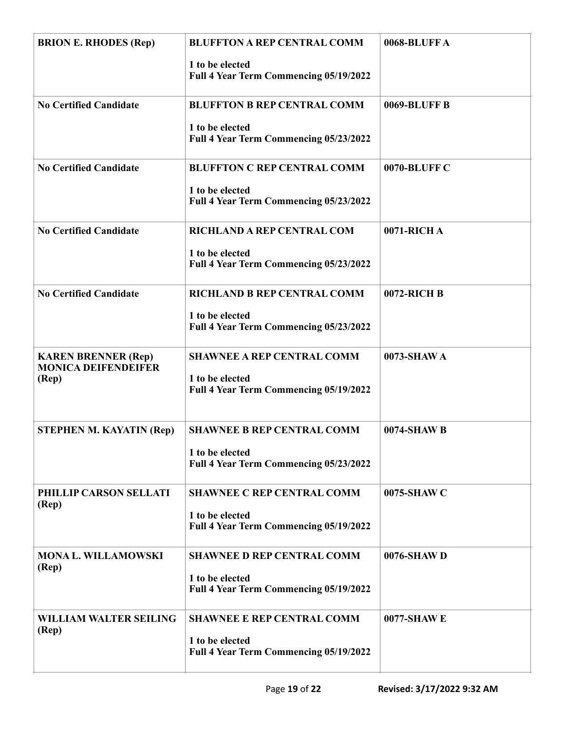| <b>BRION E. RHODES (Rep)</b>                             | <b>BLUFFTON A REP CENTRAL COMM</b><br>1 to be elected     | 0068-BLUFFA  |
|----------------------------------------------------------|-----------------------------------------------------------|--------------|
|                                                          | Full 4 Year Term Commencing 05/19/2022                    |              |
| <b>No Certified Candidate</b>                            | <b>BLUFFTON B REP CENTRAL COMM</b>                        | 0069-BLUFF B |
|                                                          | 1 to be elected<br>Full 4 Year Term Commencing 05/23/2022 |              |
| <b>No Certified Candidate</b>                            | <b>BLUFFTON C REP CENTRAL COMM</b>                        | 0070-BLUFF C |
|                                                          | 1 to be elected<br>Full 4 Year Term Commencing 05/23/2022 |              |
| <b>No Certified Candidate</b>                            | <b>RICHLAND A REP CENTRAL COM</b>                         | 0071-RICH A  |
|                                                          | 1 to be elected<br>Full 4 Year Term Commencing 05/23/2022 |              |
| <b>No Certified Candidate</b>                            | RICHLAND B REP CENTRAL COMM                               | 0072-RICH B  |
|                                                          | 1 to be elected<br>Full 4 Year Term Commencing 05/23/2022 |              |
| <b>KAREN BRENNER (Rep)</b><br><b>MONICA DEIFENDEIFER</b> | <b>SHAWNEE A REP CENTRAL COMM</b>                         | 0073-SHAW A  |
| (Rep)                                                    | 1 to be elected<br>Full 4 Year Term Commencing 05/19/2022 |              |
| STEPHEN M. KAYATIN (Rep)                                 | <b>SHAWNEE B REP CENTRAL COMM</b>                         | 0074-SHAW B  |
|                                                          | 1 to be elected<br>Full 4 Year Term Commencing 05/23/2022 |              |
| PHILLIP CARSON SELLATI<br>(Rep)                          | <b>SHAWNEE C REP CENTRAL COMM</b>                         | 0075-SHAW C  |
|                                                          | 1 to be elected<br>Full 4 Year Term Commencing 05/19/2022 |              |
| <b>MONA L. WILLAMOWSKI</b><br>(Rep)                      | <b>SHAWNEE D REP CENTRAL COMM</b>                         | 0076-SHAW D  |
|                                                          | 1 to be elected<br>Full 4 Year Term Commencing 05/19/2022 |              |
| <b>WILLIAM WALTER SEILING</b><br>(Rep)                   | <b>SHAWNEE E REP CENTRAL COMM</b>                         | 0077-SHAW E  |
|                                                          | 1 to be elected<br>Full 4 Year Term Commencing 05/19/2022 |              |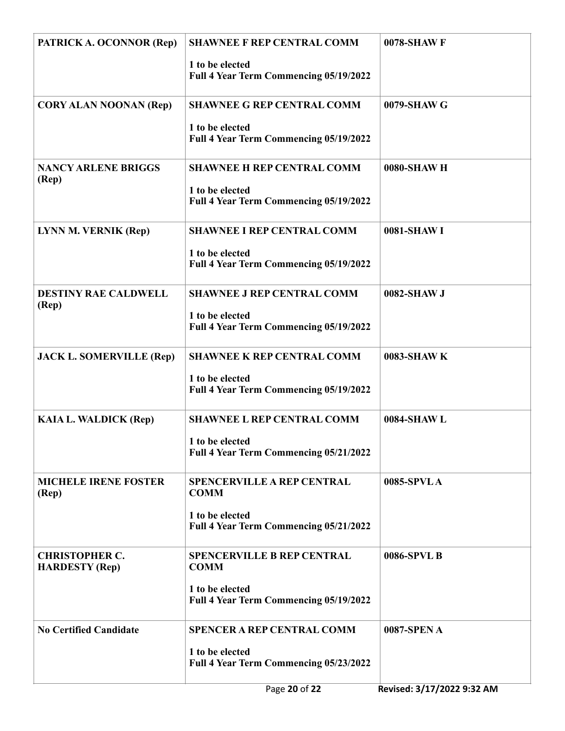| PATRICK A. OCONNOR (Rep)                       | <b>SHAWNEE F REP CENTRAL COMM</b><br>1 to be elected<br>Full 4 Year Term Commencing 05/19/2022                | 0078-SHAW F |
|------------------------------------------------|---------------------------------------------------------------------------------------------------------------|-------------|
| <b>CORY ALAN NOONAN (Rep)</b>                  | <b>SHAWNEE G REP CENTRAL COMM</b><br>1 to be elected<br>Full 4 Year Term Commencing 05/19/2022                | 0079-SHAW G |
| <b>NANCY ARLENE BRIGGS</b><br>(Rep)            | <b>SHAWNEE H REP CENTRAL COMM</b><br>1 to be elected<br>Full 4 Year Term Commencing 05/19/2022                | 0080-SHAW H |
| <b>LYNN M. VERNIK (Rep)</b>                    | <b>SHAWNEE I REP CENTRAL COMM</b><br>1 to be elected<br>Full 4 Year Term Commencing 05/19/2022                | 0081-SHAW I |
| <b>DESTINY RAE CALDWELL</b><br>(Rep)           | <b>SHAWNEE J REP CENTRAL COMM</b><br>1 to be elected<br>Full 4 Year Term Commencing 05/19/2022                | 0082-SHAW J |
| <b>JACK L. SOMERVILLE (Rep)</b>                | <b>SHAWNEE K REP CENTRAL COMM</b><br>1 to be elected<br>Full 4 Year Term Commencing 05/19/2022                | 0083-SHAW K |
| <b>KAIA L. WALDICK (Rep)</b>                   | <b>SHAWNEE L REP CENTRAL COMM</b><br>1 to be elected<br>Full 4 Year Term Commencing 05/21/2022                | 0084-SHAW L |
| <b>MICHELE IRENE FOSTER</b><br>(Rep)           | <b>SPENCERVILLE A REP CENTRAL</b><br><b>COMM</b><br>1 to be elected<br>Full 4 Year Term Commencing 05/21/2022 | 0085-SPVL A |
| <b>CHRISTOPHER C.</b><br><b>HARDESTY (Rep)</b> | <b>SPENCERVILLE B REP CENTRAL</b><br><b>COMM</b><br>1 to be elected<br>Full 4 Year Term Commencing 05/19/2022 | 0086-SPVL B |
| <b>No Certified Candidate</b>                  | <b>SPENCER A REP CENTRAL COMM</b><br>1 to be elected<br>Full 4 Year Term Commencing 05/23/2022                | 0087-SPEN A |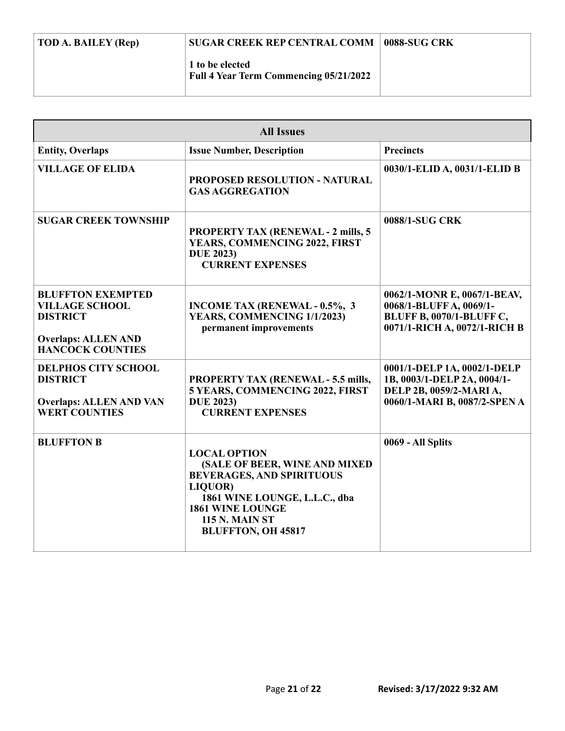| TOD A. BAILEY (Rep) | <b>SUGAR CREEK REP CENTRAL COMM</b>                              | 0088-SUG CRK |
|---------------------|------------------------------------------------------------------|--------------|
|                     | 1 to be elected<br><b>Full 4 Year Term Commencing 05/21/2022</b> |              |

| <b>All Issues</b>                                                                                                             |                                                                                                                                                                                                                       |                                                                                                                           |
|-------------------------------------------------------------------------------------------------------------------------------|-----------------------------------------------------------------------------------------------------------------------------------------------------------------------------------------------------------------------|---------------------------------------------------------------------------------------------------------------------------|
| <b>Entity, Overlaps</b>                                                                                                       | <b>Issue Number, Description</b>                                                                                                                                                                                      | <b>Precincts</b>                                                                                                          |
| <b>VILLAGE OF ELIDA</b>                                                                                                       | PROPOSED RESOLUTION - NATURAL<br><b>GAS AGGREGATION</b>                                                                                                                                                               | 0030/1-ELID A, 0031/1-ELID B                                                                                              |
| <b>SUGAR CREEK TOWNSHIP</b>                                                                                                   | <b>PROPERTY TAX (RENEWAL - 2 mills, 5</b><br>YEARS, COMMENCING 2022, FIRST<br><b>DUE 2023)</b><br><b>CURRENT EXPENSES</b>                                                                                             | 0088/1-SUG CRK                                                                                                            |
| <b>BLUFFTON EXEMPTED</b><br><b>VILLAGE SCHOOL</b><br><b>DISTRICT</b><br><b>Overlaps: ALLEN AND</b><br><b>HANCOCK COUNTIES</b> | <b>INCOME TAX (RENEWAL - 0.5%, 3)</b><br>YEARS, COMMENCING 1/1/2023)<br>permanent improvements                                                                                                                        | 0062/1-MONR E, 0067/1-BEAV,<br>0068/1-BLUFF A, 0069/1-<br><b>BLUFF B, 0070/1-BLUFF C,</b><br>0071/1-RICH A, 0072/1-RICH B |
| <b>DELPHOS CITY SCHOOL</b><br><b>DISTRICT</b><br><b>Overlaps: ALLEN AND VAN</b><br><b>WERT COUNTIES</b>                       | <b>PROPERTY TAX (RENEWAL - 5.5 mills,</b><br>5 YEARS, COMMENCING 2022, FIRST<br><b>DUE 2023)</b><br><b>CURRENT EXPENSES</b>                                                                                           | 0001/1-DELP 1A, 0002/1-DELP<br>1B, 0003/1-DELP 2A, 0004/1-<br>DELP 2B, 0059/2-MARI A,<br>0060/1-MARI B, 0087/2-SPEN A     |
| <b>BLUFFTON B</b>                                                                                                             | <b>LOCAL OPTION</b><br>(SALE OF BEER, WINE AND MIXED<br><b>BEVERAGES, AND SPIRITUOUS</b><br>LIQUOR)<br>1861 WINE LOUNGE, L.L.C., dba<br><b>1861 WINE LOUNGE</b><br><b>115 N. MAIN ST</b><br><b>BLUFFTON, OH 45817</b> | 0069 - All Splits                                                                                                         |